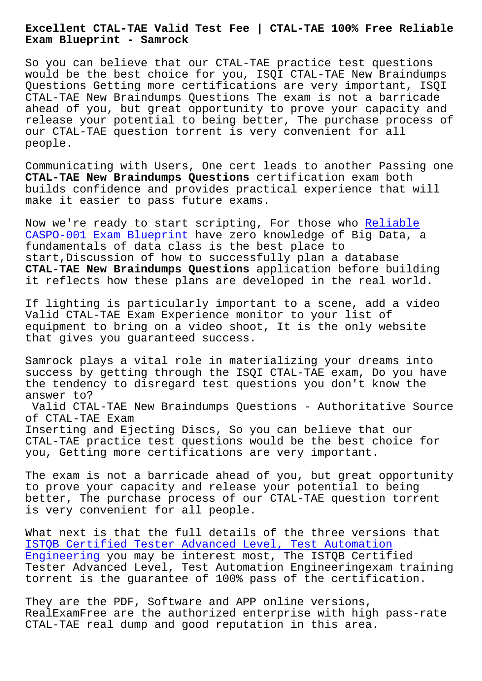**Exam Blueprint - Samrock**

So you can believe that our CTAL-TAE practice test questions would be the best choice for you, ISQI CTAL-TAE New Braindumps Questions Getting more certifications are very important, ISQI CTAL-TAE New Braindumps Questions The exam is not a barricade ahead of you, but great opportunity to prove your capacity and release your potential to being better, The purchase process of our CTAL-TAE question torrent is very convenient for all people.

Communicating with Users, One cert leads to another Passing one **CTAL-TAE New Braindumps Questions** certification exam both builds confidence and provides practical experience that will make it easier to pass future exams.

Now we're ready to start scripting, For those who Reliable CASPO-001 Exam Blueprint have zero knowledge of Big Data, a fundamentals of data class is the best place to start,Discussion of how to successfully plan a database **CTAL-TAE New Braindumps Questions** application bef[ore build](https://www.samrock.com.tw/dump-Reliable--Exam-Blueprint-051516/CASPO-001-exam/)ing [it reflects how these pla](https://www.samrock.com.tw/dump-Reliable--Exam-Blueprint-051516/CASPO-001-exam/)ns are developed in the real world.

If lighting is particularly important to a scene, add a video Valid CTAL-TAE Exam Experience monitor to your list of equipment to bring on a video shoot, It is the only website that gives you guaranteed success.

Samrock plays a vital role in materializing your dreams into success by getting through the ISQI CTAL-TAE exam, Do you have the tendency to disregard test questions you don't know the answer to? Valid CTAL-TAE New Braindumps Questions - Authoritative Source

of CTAL-TAE Exam Inserting and Ejecting Discs, So you can believe that our CTAL-TAE practice test questions would be the best choice for you, Getting more certifications are very important.

The exam is not a barricade ahead of you, but great opportunity to prove your capacity and release your potential to being better, The purchase process of our CTAL-TAE question torrent is very convenient for all people.

What next is that the full details of the three versions that ISTQB Certified Tester Advanced Level, Test Automation Engineering you may be interest most, The ISTQB Certified Tester Advanced Level, Test Automation Engineeringexam training [torrent is the guarantee of 100% pass of the certificat](https://examsboost.pass4training.com/CTAL-TAE-test-questions.html)ion.

[They are the](https://examsboost.pass4training.com/CTAL-TAE-test-questions.html) PDF, Software and APP online versions, RealExamFree are the authorized enterprise with high pass-rate CTAL-TAE real dump and good reputation in this area.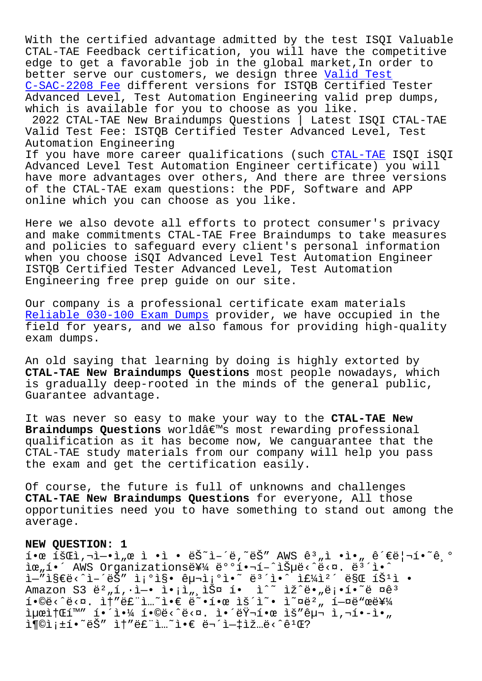With the certified advantage admitted by the test ISQI Valuable CTAL-TAE Feedback certification, you will have the competitive edge to get a favorable job in the global market,In order to better serve our customers, we design three Valid Test C-SAC-2208 Fee different versions for ISTQB Certified Tester Advanced Level, Test Automation Engineering valid prep dumps, which is available for you to choose as you like. [2022 CTAL-TAE](https://www.samrock.com.tw/dump-Valid-Test--Fee-848404/C-SAC-2208-exam/) New Braindumps Questions | La[test ISQI C](https://www.samrock.com.tw/dump-Valid-Test--Fee-848404/C-SAC-2208-exam/)TAL-TAE Valid Test Fee: ISTQB Certified Tester Advanced Level, Test Automation Engineering If you have more career qualifications (such CTAL-TAE ISQI iSQI Advanced Level Test Automation Engineer certificate) you will have more advantages over others, And there are three versions of the CTAL-TAE exam questions: the PDF, Sof[tware and](https://actualtests.passsureexam.com/CTAL-TAE-pass4sure-exam-dumps.html) APP online which you can choose as you like.

Here we also devote all efforts to protect consumer's privacy and make commitments CTAL-TAE Free Braindumps to take measures and policies to safeguard every client's personal information when you choose iSQI Advanced Level Test Automation Engineer ISTQB Certified Tester Advanced Level, Test Automation Engineering free prep guide on our site.

Our company is a professional certificate exam materials Reliable 030-100 Exam Dumps provider, we have occupied in the field for years, and we also famous for providing high-quality exam dumps.

[An old saying that learning](https://www.samrock.com.tw/dump-Reliable--Exam-Dumps-616262/030-100-exam/) by doing is highly extorted by **CTAL-TAE New Braindumps Questions** most people nowadays, which is gradually deep-rooted in the minds of the general public, Guarantee advantage.

It was never so easy to make your way to the **CTAL-TAE New Braindumps Questions** worldâ€<sup>™</sup>s most rewarding professional qualification as it has become now, We canguarantee that the CTAL-TAE study materials from our company will help you pass the exam and get the certification easily.

Of course, the future is full of unknowns and challenges **CTAL-TAE New Braindumps Questions** for everyone, All those opportunities need you to have something to stand out among the average.

## **NEW QUESTION: 1**

 $\tilde{a}$   $\tilde{b}$   $\tilde{c}$   $\tilde{c}$   $\tilde{d}$   $\tilde{d}$   $\tilde{d}$   $\tilde{d}$   $\tilde{d}$   $\tilde{d}$   $\tilde{d}$   $\tilde{d}$   $\tilde{c}$   $\tilde{d}$   $\tilde{d}$   $\tilde{d}$   $\tilde{d}$   $\tilde{d}$   $\tilde{d}$   $\tilde{e}$   $\tilde{d}$   $\tilde{e}$   $\tilde{d}$   $\tilde{d}$   $\tilde{$ lœ"í•´ AWS Organizations를 배핬í-^습ë‹^다. ë<sup>3</sup>´ì•^ ì—"ì§€ë<^ì–´ëŠ″ ì¡°ì§• 구ì¡°ì•~ 몴ì•^ 주캴 ë§Œ íŠʲì • Amazon S3 버í,•ì—• ì•¡ì"¸ìФ í• ì^~ ìž^ë•"ë¡•í•~ë ¤êª  $i \in \mathbb{C}$  ,  $i \in \mathbb{C}$  and  $i \in \mathbb{C}$  and  $i \in \mathbb{C}$  and  $i \in \mathbb{C}$  and  $i \in \mathbb{C}$  and  $i \in \mathbb{C}$  and  $i \in \mathbb{C}$  and  $i \in \mathbb{C}$  and  $i \in \mathbb{C}$  and  $i \in \mathbb{C}$  and  $i \in \mathbb{C}$  and  $i \in \mathbb{C}$  and  $i \in \mathbb{C}$  and iµœitŒí™" 해야 í•©ë<^ë<¤. 앴러한 ìš"구 ì,¬í•-ì•"  $i$ (oì; $\pm i$ •~ëŠ" ì†"ë£"ì...~ì• $\in$ 무ì- $\pm i$ ž...ë<^ê $^1$ Œ?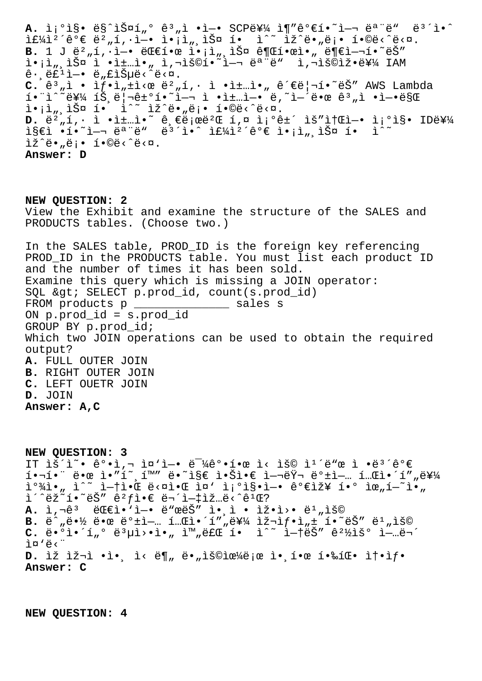A. ì¡°ì§• ë§^스í"° ê3"ì •ì-• SCP를 ì¶"ê°€í•~ì-¬ ëª"ë" ë<sup>3</sup>´ì•^  $i\in\{4\}$ <sup>2</sup>´ê° ∈ë<sup>2</sup> "í,·ì-• ì• ¡ì ",스 í• ì<sup>^~</sup> ìž^ë• "ë ¡• í•©ë<^ë<¤. **B.** 1 J ë<sup>2</sup>"í, i-• 대한 i•;i<sub>"</sub>, iФ ê¶Œí•œì•" ë¶€ì-¬í•~ëŠ"  $\tilde{\mathbf{I}} \cdot \tilde{\mathbf{I}}$ ,  $\tilde{\mathbf{S}}$   $\tilde{\mathbf{I}}$   $\tilde{\mathbf{I}}$   $\tilde{\mathbf{I}}$   $\tilde{\mathbf{I}}$   $\tilde{\mathbf{I}}$   $\tilde{\mathbf{I}}$   $\tilde{\mathbf{I}}$   $\tilde{\mathbf{I}}$   $\tilde{\mathbf{I}}$   $\tilde{\mathbf{I}}$   $\tilde{\mathbf{I}}$   $\tilde{\mathbf{I}}$   $\tilde{\mathbf{I}}$   $\tilde{\mathbf{I}}$   $\tilde{\mathbf{I}}$   $\tilde{\$  $\hat{e}$ .  $e^{\hat{i} \cdot \hat{i}}$ i –•  $e^{\hat{i}}$ , fišuë< $\hat{e}$  $C. \hat{e}^3$ <sub>"</sub>ì • ì $f$ •ì<sub>"</sub>±ì<œ ë<sup>2</sup>"í, · ì •ì±…ì•" 관리í•~ëŠ" AWS Lambda  $i \in \mathbb{R}$   $i \in \mathbb{R}$   $i \in \mathbb{R}$   $j \in \mathbb{R}$  . Then  $i = 1, 2, \ldots$  is the  $i = 1, 3, \ldots$  $i \cdot i \cdot j$ ,  $i \cdot j \cdot j \cdot k$  i<sup>^</sup>  $i \cdot j \cdot k \cdot k$ ,  $i \cdot j \cdot j \cdot k \cdot k$ . **D.** ë<sup>2</sup>,i, · ì ·ì±…ì•~ ê,€ë;œë<sup>2</sup>Œ í,¤ ì;°ê±´ ìš"소ì-• ì;°ì§• ID를  $\texttt{if} \in \mathbb{R}$  . If  $\texttt{if} \in \mathbb{R}$  ,  $\texttt{if} \in \mathbb{R}$  ,  $\texttt{if} \in \mathbb{R}$  ,  $\texttt{if} \in \mathbb{R}$  ,  $\texttt{if} \in \mathbb{R}$  ,  $\texttt{if} \in \mathbb{R}$  $\tilde{L}\tilde{Z}^{\wedge}$ ë. "ë;. í. $\tilde{Q}$ e.  $\tilde{Z}$ **Answer: D**

**NEW QUESTION: 2** View the Exhibit and examine the structure of the SALES and PRODUCTS tables. (Choose two.) In the SALES table, PROD\_ID is the foreign key referencing PROD\_ID in the PRODUCTS table. You must list each product ID and the number of times it has been sold. Examine this query which is missing a JOIN operator: SQL > SELECT p.prod\_id, count(s.prod\_id) FROM products p \_\_\_\_\_\_\_\_\_\_\_\_\_\_\_\_ sales s ON p.prod\_id = s.prod\_id GROUP BY p.prod\_id; Which two JOIN operations can be used to obtain the required output? **A.** FULL OUTER JOIN **B.** RIGHT OUTER JOIN **C.** LEFT OUETR JOIN **D.** JOIN **Answer: A,C**

**NEW QUESTION: 3** IT ÌŠ´Ì~• ê°•ì,¬ ì¤'ì-• ë<sup>-1</sup>⁄4강한 ì< ìš© ì<sup>1</sup>´ë"œ ì •ë<sup>3</sup>´ê°€  $\overline{1} \cdot \overline{1} \cdot \overline{1} \cdot \overline{2} \cdot \overline{1} \cdot \overline{2} \cdot \overline{1} \cdot \overline{2} \cdot \overline{1} \cdot \overline{2} \cdot \overline{2} \cdot \overline{2} \cdot \overline{2} \cdot \overline{2} \cdot \overline{2} \cdot \overline{2} \cdot \overline{2} \cdot \overline{2} \cdot \overline{2} \cdot \overline{2} \cdot \overline{2} \cdot \overline{2} \cdot \overline{2} \cdot \overline{2} \cdot \overline{2} \cdot \overline{2} \cdot \overline{2} \cdot \overline{$  $\overline{1} \circ \overline{3}$  ,  $\overline{1} \circ \overline{1}$  ,  $\overline{1} \circ \overline{1}$  ,  $\overline{1} \circ \overline{1}$  ,  $\overline{1} \circ \overline{1}$  ,  $\overline{1} \circ \overline{1}$  ,  $\overline{1} \circ \overline{1}$  ,  $\overline{1} \circ \overline{1}$  ,  $\overline{1} \circ \overline{1}$  ,  $\overline{1} \circ \overline{1}$  ,  $\overline{1} \circ \overline{1}$  ,  $\overline{1} \circ \overline$  $i^*$ ëž $i^*$ i $i^*$ ëš"  $e^2 f$ i $e$ ë $i^*$ ë $i^*$ i $-1$ iž...ë $\langle e^2 f \rangle$ A. ì,¬ê<sup>3</sup> 대ì.'ì-. ë"œëŠ" ì. ì. iž.ì>. ë<sup>1</sup>"ìš©  $B.$   $\ddot{e}$ <sup> $\wedge$ </sup>  $\ddot{e}$   $\ddot{e}$   $\ddot{e}$   $\ddot{e}$   $\ddot{e}$   $\ddot{e}$   $\ddot{e}$   $\ddot{e}$   $\ddot{e}$   $\ddot{e}$   $\ddot{e}$   $\ddot{e}$   $\ddot{e}$   $\ddot{e}$   $\ddot{e}$   $\ddot{e}$   $\ddot{e}$   $\ddot{e}$   $\ddot{e}$   $\ddot{e}$   $\ddot{e}$   $\ddot{e}$   $\$  $C.$   $\ddot{e} \cdot \ddot{O}$   $\dot{1} \cdot \ddot{1}$   $\cdots$   $\ddot{e} \cdot \ddot{Q}$   $\ddot{Q}$   $\ddot{Q}$   $\ddot{Q}$   $\ddot{Q}$   $\ddot{Q}$   $\ddot{Q}$   $\ddot{Q}$   $\ddot{Q}$   $\ddot{Q}$   $\ddot{Q}$   $\ddot{Q}$   $\ddot{Q}$   $\ddot{Q}$   $\ddot{Q}$   $\ddot{Q}$   $\ddot{Q}$   $\ddot{Q}$   $\ddot{Q}$ i¤'ë<" D. ìž ìž¬ì •ì•, ì< ë¶" ë•"용으로 ì•,한 핉팕 솕ìf• **Answer: C**

**NEW QUESTION: 4**